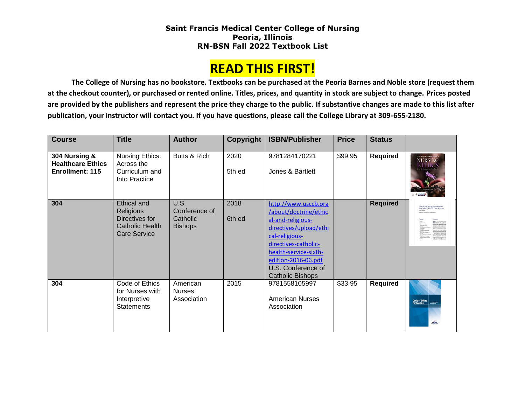## **Saint Francis Medical Center College of Nursing Peoria, Illinois RN-BSN Fall 2022 Textbook List**

## **READ THIS FIRST!**

**The College of Nursing has no bookstore. Textbooks can be purchased at the Peoria Barnes and Noble store (request them at the checkout counter), or purchased or rented online. Titles, prices, and quantity in stock are subject to change. Prices posted are provided by the publishers and represent the price they charge to the public. If substantive changes are made to this list after publication, your instructor will contact you. If you have questions, please call the College Library at 309-655-2180.**

| <b>Course</b>                                                | <b>Title</b>                                                                                | <b>Author</b>                                              | Copyright      | <b>ISBN/Publisher</b>                                                                                                                                                                                                            | <b>Price</b> | <b>Status</b>   |                                                                             |
|--------------------------------------------------------------|---------------------------------------------------------------------------------------------|------------------------------------------------------------|----------------|----------------------------------------------------------------------------------------------------------------------------------------------------------------------------------------------------------------------------------|--------------|-----------------|-----------------------------------------------------------------------------|
| 304 Nursing &<br><b>Healthcare Ethics</b><br>Enrollment: 115 | Nursing Ethics:<br>Across the<br>Curriculum and<br>Into Practice                            | Butts & Rich                                               | 2020<br>5th ed | 9781284170221<br>Jones & Bartlett                                                                                                                                                                                                | \$99.95      | Required        | <b>NURSING</b><br>ETHICS                                                    |
| 304                                                          | Ethical and<br>Religious<br>Directives for<br><b>Catholic Health</b><br><b>Care Service</b> | <b>U.S.</b><br>Conference of<br>Catholic<br><b>Bishops</b> | 2018<br>6th ed | http://www.usccb.org<br>/about/doctrine/ethic<br>al-and-religious-<br>directives/upload/ethi<br>cal-religious-<br>directives-catholic-<br>health-service-sixth-<br>edition-2016-06.pdf<br>U.S. Conference of<br>Catholic Bishops |              | <b>Required</b> | <b>Ethical and Religious Directives</b><br>for Catholic Health Care Service |
| 304                                                          | Code of Ethics<br>for Nurses with<br>Interpretive<br><b>Statements</b>                      | American<br><b>Nurses</b><br>Association                   | 2015           | 9781558105997<br><b>American Nurses</b><br>Association                                                                                                                                                                           | \$33.95      | Required        | Code of Ethics<br><b>Substitute</b>                                         |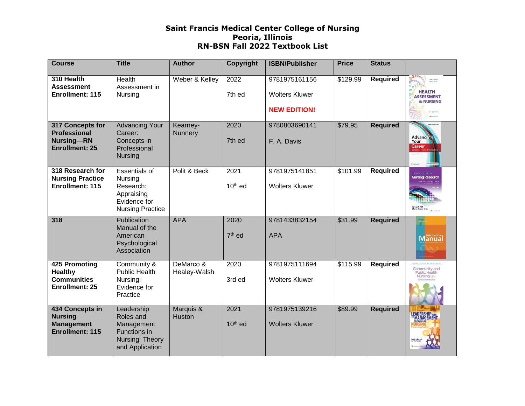## **Saint Francis Medical Center College of Nursing Peoria, Illinois RN-BSN Fall 2022 Textbook List**

| <b>Course</b>                                                                         | <b>Title</b>                                                                                          | <b>Author</b>             | Copyright         | <b>ISBN/Publisher</b>                                         | <b>Price</b> | <b>Status</b>   |                                                                                            |
|---------------------------------------------------------------------------------------|-------------------------------------------------------------------------------------------------------|---------------------------|-------------------|---------------------------------------------------------------|--------------|-----------------|--------------------------------------------------------------------------------------------|
| 310 Health<br><b>Assessment</b><br>Enrollment: 115                                    | Health<br>Assessment in<br>Nursing                                                                    | Weber & Kelley            | 2022<br>7th ed    | 9781975161156<br><b>Wolters Kluwer</b><br><b>NEW EDITION!</b> | \$129.99     | <b>Required</b> | Janet II. Weber<br>Janet Harley<br><b>HEALTH</b><br><b>ASSESSMENT</b><br><b>IN NURSING</b> |
| 317 Concepts for<br><b>Professional</b><br><b>Nursing-RN</b><br><b>Enrollment: 25</b> | <b>Advancing Your</b><br>Career:<br>Concepts in<br>Professional<br><b>Nursing</b>                     | Kearney-<br>Nunnery       | 2020<br>7th ed    | 9780803690141<br>F. A. Davis                                  | \$79.95      | <b>Required</b> | <b>Advancing</b><br>Your<br>Career                                                         |
| 318 Research for<br><b>Nursing Practice</b><br>Enrollment: 115                        | <b>Essentials of</b><br>Nursing<br>Research:<br>Appraising<br>Evidence for<br><b>Nursing Practice</b> | Polit & Beck              | 2021<br>$10th$ ed | 9781975141851<br><b>Wolters Kluwer</b>                        | \$101.99     | <b>Required</b> | Nursing Research                                                                           |
| 318                                                                                   | Publication<br>Manual of the<br>American<br>Psychological<br>Association                              | <b>APA</b>                | 2020<br>$7th$ ed  | 9781433832154<br><b>APA</b>                                   | \$31.99      | <b>Required</b> | 72<br><b>Manual</b>                                                                        |
| <b>425 Promoting</b><br><b>Healthy</b><br><b>Communities</b><br><b>Enrollment: 25</b> | Community &<br><b>Public Health</b><br>Nursing:<br>Evidence for<br>Practice                           | DeMarco &<br>Healey-Walsh | 2020<br>3rd ed    | 9781975111694<br><b>Wolters Kluwer</b>                        | \$115.99     | <b>Required</b> | Community and<br>Public Health                                                             |
| 434 Concepts in<br><b>Nursing</b><br><b>Management</b><br><b>Enrollment: 115</b>      | Leadership<br>Roles and<br>Management<br>Functions in<br>Nursing: Theory<br>and Application           | Marquis &<br>Huston       | 2021<br>$10th$ ed | 9781975139216<br><b>Wolters Kluwer</b>                        | \$89.99      | <b>Required</b> | LEADERSHIP                                                                                 |